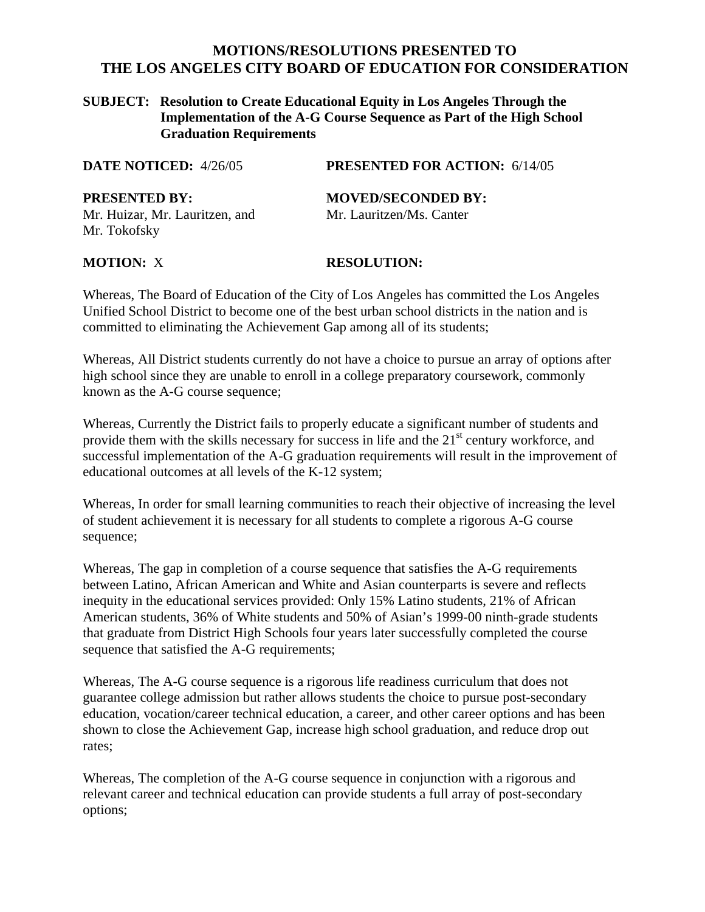# **MOTIONS/RESOLUTIONS PRESENTED TO THE LOS ANGELES CITY BOARD OF EDUCATION FOR CONSIDERATION**

#### **SUBJECT: Resolution to Create Educational Equity in Los Angeles Through the Implementation of the A-G Course Sequence as Part of the High School Graduation Requirements**

**DATE NOTICED:** 4/26/05 **PRESENTED FOR ACTION:** 6/14/05

**PRESENTED BY: MOVED/SECONDED BY:** Mr. Huizar, Mr. Lauritzen, and Mr. Lauritzen/Ms. Canter Mr. Tokofsky

### **MOTION:** X **RESOLUTION:**

Whereas, The Board of Education of the City of Los Angeles has committed the Los Angeles Unified School District to become one of the best urban school districts in the nation and is committed to eliminating the Achievement Gap among all of its students;

Whereas, All District students currently do not have a choice to pursue an array of options after high school since they are unable to enroll in a college preparatory coursework, commonly known as the A-G course sequence;

Whereas, Currently the District fails to properly educate a significant number of students and provide them with the skills necessary for success in life and the  $21<sup>st</sup>$  century workforce, and successful implementation of the A-G graduation requirements will result in the improvement of educational outcomes at all levels of the K-12 system;

Whereas, In order for small learning communities to reach their objective of increasing the level of student achievement it is necessary for all students to complete a rigorous A-G course sequence;

Whereas, The gap in completion of a course sequence that satisfies the A-G requirements between Latino, African American and White and Asian counterparts is severe and reflects inequity in the educational services provided: Only 15% Latino students, 21% of African American students, 36% of White students and 50% of Asian's 1999-00 ninth-grade students that graduate from District High Schools four years later successfully completed the course sequence that satisfied the A-G requirements;

Whereas, The A-G course sequence is a rigorous life readiness curriculum that does not guarantee college admission but rather allows students the choice to pursue post-secondary education, vocation/career technical education, a career, and other career options and has been shown to close the Achievement Gap, increase high school graduation, and reduce drop out rates;

Whereas, The completion of the A-G course sequence in conjunction with a rigorous and relevant career and technical education can provide students a full array of post-secondary options;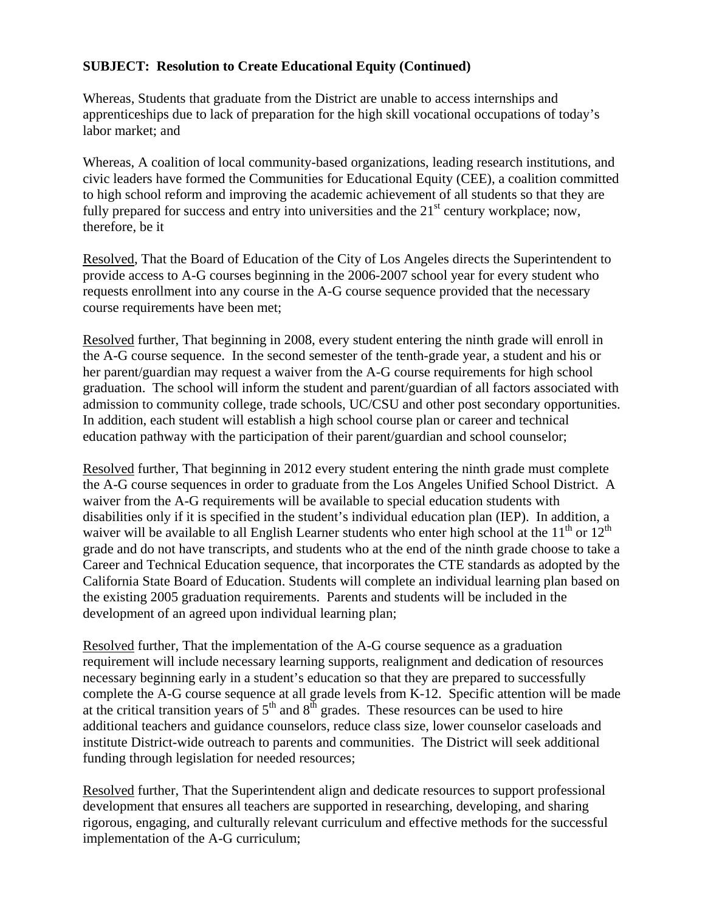## **SUBJECT: Resolution to Create Educational Equity (Continued)**

Whereas, Students that graduate from the District are unable to access internships and apprenticeships due to lack of preparation for the high skill vocational occupations of today's labor market; and

Whereas, A coalition of local community-based organizations, leading research institutions, and civic leaders have formed the Communities for Educational Equity (CEE), a coalition committed to high school reform and improving the academic achievement of all students so that they are fully prepared for success and entry into universities and the 21<sup>st</sup> century workplace; now, therefore, be it

Resolved, That the Board of Education of the City of Los Angeles directs the Superintendent to provide access to A-G courses beginning in the 2006-2007 school year for every student who requests enrollment into any course in the A-G course sequence provided that the necessary course requirements have been met;

Resolved further, That beginning in 2008, every student entering the ninth grade will enroll in the A-G course sequence. In the second semester of the tenth-grade year, a student and his or her parent/guardian may request a waiver from the A-G course requirements for high school graduation. The school will inform the student and parent/guardian of all factors associated with admission to community college, trade schools, UC/CSU and other post secondary opportunities. In addition, each student will establish a high school course plan or career and technical education pathway with the participation of their parent/guardian and school counselor;

Resolved further, That beginning in 2012 every student entering the ninth grade must complete the A-G course sequences in order to graduate from the Los Angeles Unified School District. A waiver from the A-G requirements will be available to special education students with disabilities only if it is specified in the student's individual education plan (IEP). In addition, a waiver will be available to all English Learner students who enter high school at the  $11<sup>th</sup>$  or  $12<sup>th</sup>$ grade and do not have transcripts, and students who at the end of the ninth grade choose to take a Career and Technical Education sequence, that incorporates the CTE standards as adopted by the California State Board of Education. Students will complete an individual learning plan based on the existing 2005 graduation requirements. Parents and students will be included in the development of an agreed upon individual learning plan;

Resolved further, That the implementation of the A-G course sequence as a graduation requirement will include necessary learning supports, realignment and dedication of resources necessary beginning early in a student's education so that they are prepared to successfully complete the A-G course sequence at all grade levels from K-12. Specific attention will be made at the critical transition years of  $5<sup>th</sup>$  and  $8<sup>th</sup>$  grades. These resources can be used to hire additional teachers and guidance counselors, reduce class size, lower counselor caseloads and institute District-wide outreach to parents and communities. The District will seek additional funding through legislation for needed resources;

Resolved further, That the Superintendent align and dedicate resources to support professional development that ensures all teachers are supported in researching, developing, and sharing rigorous, engaging, and culturally relevant curriculum and effective methods for the successful implementation of the A-G curriculum;